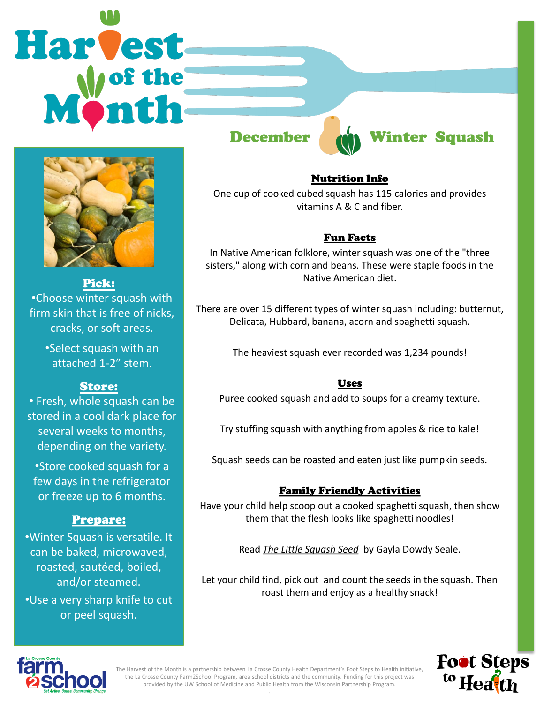# **Harvest**



Pick: •Choose winter squash with firm skin that is free of nicks, cracks, or soft areas.

> •Select squash with an attached 1-2" stem.

### Store:

• Fresh, whole squash can be stored in a cool dark place for several weeks to months, depending on the variety.

•Store cooked squash for a few days in the refrigerator or freeze up to 6 months.

### Prepare:

•Winter Squash is versatile. It can be baked, microwaved, roasted, sautéed, boiled, and/or steamed. •Use a very sharp knife to cut or peel squash.



# December di Winter Squash

### Nutrition Info

One cup of cooked cubed squash has 115 calories and provides vitamins A & C and fiber.

### Fun Facts

In Native American folklore, winter squash was one of the "three sisters," along with corn and beans. These were staple foods in the Native American diet.

There are over 15 different types of winter squash including: butternut, Delicata, Hubbard, banana, acorn and spaghetti squash.

The heaviest squash ever recorded was 1,234 pounds!

### Uses

Puree cooked squash and add to soups for a creamy texture.

Try stuffing squash with anything from apples & rice to kale!

Squash seeds can be roasted and eaten just like pumpkin seeds.

### Family Friendly Activities

Have your child help scoop out a cooked spaghetti squash, then show them that the flesh looks like spaghetti noodles!

Read *The Little Squash Seed* by Gayla Dowdy Seale.

Let your child find, pick out and count the seeds in the squash. Then roast them and enjoy as a healthy snack!





The Harvest of the Month is a partnership between La Crosse County Health Department's Foot Steps to Health initiative, the La Crosse County Farm2School Program, area school districts and the community. Funding for this project was provided by the UW School of Medicine and Public Health from the Wisconsin Partnership Program. .